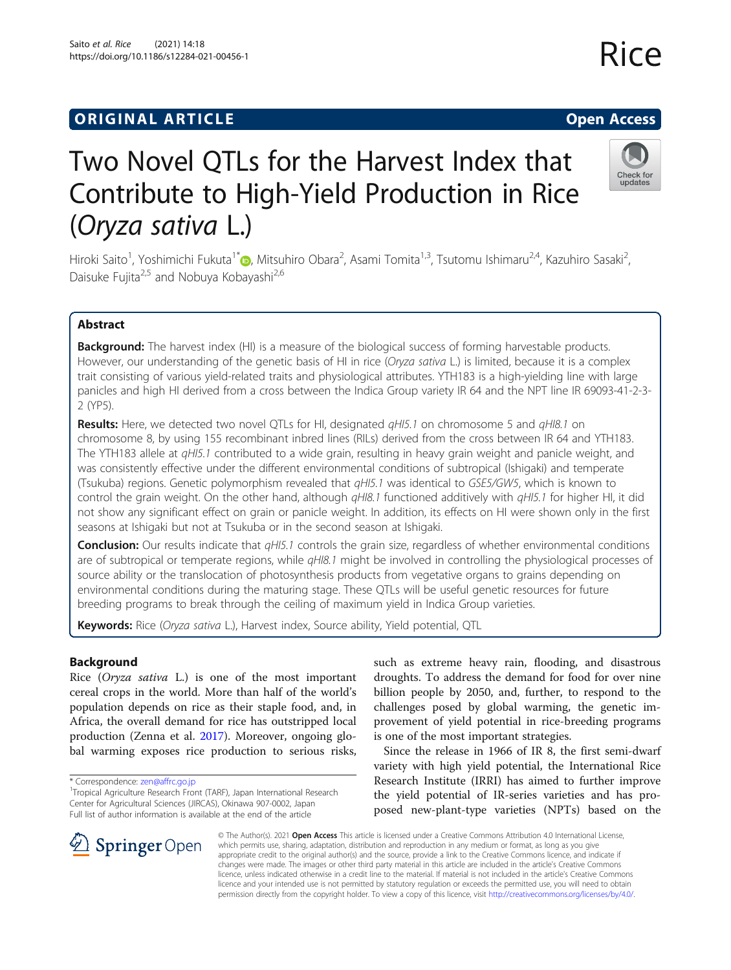## **ORIGINAL ARTICLE CONSERVANCE IN A LOCAL CONSERVANCE IN A LOCAL CONSERVANCE IN A LOCAL CONSERVANCE IN A LOCAL CONS**

# Two Novel QTLs for the Harvest Index that Contribute to High-Yield Production in Rice (Oryza sativa L.)

Hiroki Saito<sup>1</sup>[,](http://orcid.org/0000-0003-0464-2097) Yoshimichi Fukuta<sup>1\*</sup>®, Mitsuhiro Obara<sup>2</sup>, Asami Tomita<sup>1,3</sup>, Tsutomu Ishimaru<sup>2,4</sup>, Kazuhiro Sasaki<sup>2</sup> , Daisuke Fujita<sup>2,5</sup> and Nobuya Kobayashi<sup>2,6</sup>

## Abstract

**Background:** The harvest index (HI) is a measure of the biological success of forming harvestable products. However, our understanding of the genetic basis of HI in rice (Oryza sativa L.) is limited, because it is a complex trait consisting of various yield-related traits and physiological attributes. YTH183 is a high-yielding line with large panicles and high HI derived from a cross between the Indica Group variety IR 64 and the NPT line IR 69093-41-2-3- 2 (YP5).

Results: Here, we detected two novel QTLs for HI, designated qHI5.1 on chromosome 5 and qHI8.1 on chromosome 8, by using 155 recombinant inbred lines (RILs) derived from the cross between IR 64 and YTH183. The YTH183 allele at qHI5.1 contributed to a wide grain, resulting in heavy grain weight and panicle weight, and was consistently effective under the different environmental conditions of subtropical (Ishigaki) and temperate (Tsukuba) regions. Genetic polymorphism revealed that qHI5.1 was identical to GSE5/GW5, which is known to control the grain weight. On the other hand, although *qHI8.1* functioned additively with *qHI5.1* for higher HI, it did not show any significant effect on grain or panicle weight. In addition, its effects on HI were shown only in the first seasons at Ishigaki but not at Tsukuba or in the second season at Ishigaki.

**Conclusion:** Our results indicate that  $qH/5.1$  controls the grain size, regardless of whether environmental conditions are of subtropical or temperate regions, while qHI8.1 might be involved in controlling the physiological processes of source ability or the translocation of photosynthesis products from vegetative organs to grains depending on environmental conditions during the maturing stage. These QTLs will be useful genetic resources for future breeding programs to break through the ceiling of maximum yield in Indica Group varieties.

Keywords: Rice (Oryza sativa L.), Harvest index, Source ability, Yield potential, QTL

## Background

Rice (Oryza sativa L.) is one of the most important cereal crops in the world. More than half of the world's population depends on rice as their staple food, and, in Africa, the overall demand for rice has outstripped local production (Zenna et al. [2017\)](#page-10-0). Moreover, ongoing global warming exposes rice production to serious risks,

\* Correspondence: [zen@affrc.go.jp](mailto:zen@affrc.go.jp) <sup>1</sup>

<sup>1</sup>Tropical Agriculture Research Front (TARF), Japan International Research Center for Agricultural Sciences (JIRCAS), Okinawa 907-0002, Japan Full list of author information is available at the end of the article

Research Institute (IRRI) has aimed to further improve the yield potential of IR-series varieties and has proposed new-plant-type varieties (NPTs) based on the © The Author(s). 2021 Open Access This article is licensed under a Creative Commons Attribution 4.0 International License,

is one of the most important strategies.

such as extreme heavy rain, flooding, and disastrous droughts. To address the demand for food for over nine billion people by 2050, and, further, to respond to the challenges posed by global warming, the genetic improvement of yield potential in rice-breeding programs

Since the release in 1966 of IR 8, the first semi-dwarf variety with high yield potential, the International Rice

which permits use, sharing, adaptation, distribution and reproduction in any medium or format, as long as you give appropriate credit to the original author(s) and the source, provide a link to the Creative Commons licence, and indicate if changes were made. The images or other third party material in this article are included in the article's Creative Commons licence, unless indicated otherwise in a credit line to the material. If material is not included in the article's Creative Commons licence and your intended use is not permitted by statutory regulation or exceeds the permitted use, you will need to obtain permission directly from the copyright holder. To view a copy of this licence, visit <http://creativecommons.org/licenses/by/4.0/>.

 $\mathscr{L}$  Springer Open



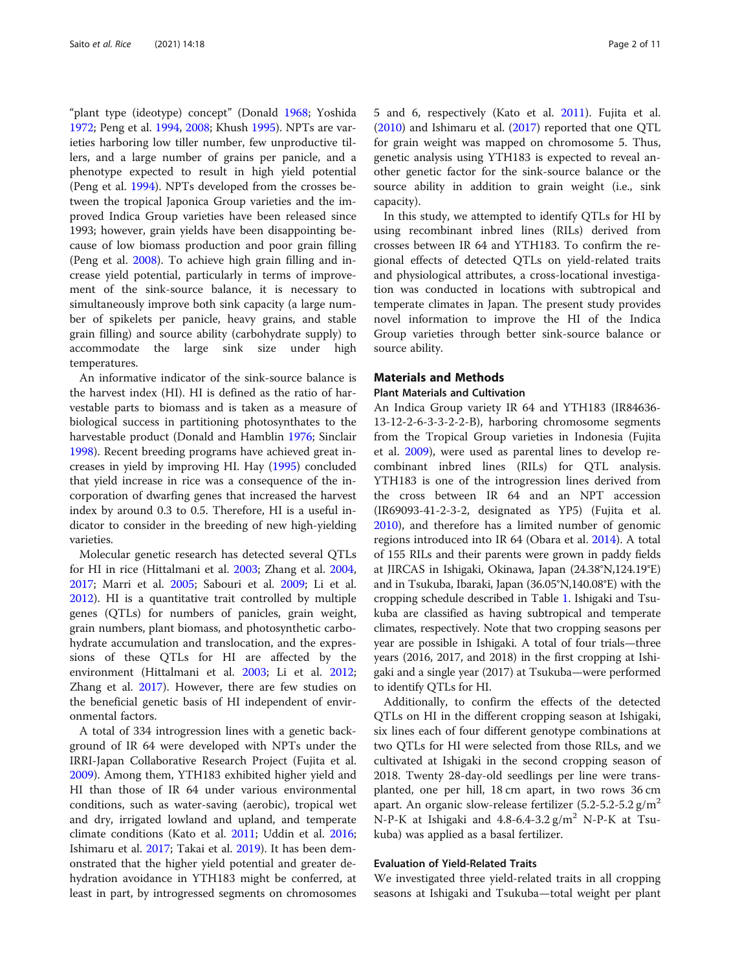"plant type (ideotype) concept" (Donald [1968](#page-9-0); Yoshida [1972](#page-10-0); Peng et al. [1994](#page-10-0), [2008;](#page-10-0) Khush [1995\)](#page-9-0). NPTs are varieties harboring low tiller number, few unproductive tillers, and a large number of grains per panicle, and a phenotype expected to result in high yield potential (Peng et al. [1994](#page-10-0)). NPTs developed from the crosses between the tropical Japonica Group varieties and the improved Indica Group varieties have been released since 1993; however, grain yields have been disappointing because of low biomass production and poor grain filling (Peng et al. [2008\)](#page-10-0). To achieve high grain filling and increase yield potential, particularly in terms of improvement of the sink-source balance, it is necessary to simultaneously improve both sink capacity (a large number of spikelets per panicle, heavy grains, and stable grain filling) and source ability (carbohydrate supply) to accommodate the large sink size under high temperatures.

An informative indicator of the sink-source balance is the harvest index (HI). HI is defined as the ratio of harvestable parts to biomass and is taken as a measure of biological success in partitioning photosynthates to the harvestable product (Donald and Hamblin [1976](#page-9-0); Sinclair [1998](#page-10-0)). Recent breeding programs have achieved great increases in yield by improving HI. Hay [\(1995\)](#page-9-0) concluded that yield increase in rice was a consequence of the incorporation of dwarfing genes that increased the harvest index by around 0.3 to 0.5. Therefore, HI is a useful indicator to consider in the breeding of new high-yielding varieties.

Molecular genetic research has detected several QTLs for HI in rice (Hittalmani et al. [2003](#page-9-0); Zhang et al. [2004](#page-10-0), [2017](#page-10-0); Marri et al. [2005;](#page-9-0) Sabouri et al. [2009](#page-10-0); Li et al. [2012](#page-9-0)). HI is a quantitative trait controlled by multiple genes (QTLs) for numbers of panicles, grain weight, grain numbers, plant biomass, and photosynthetic carbohydrate accumulation and translocation, and the expressions of these QTLs for HI are affected by the environment (Hittalmani et al. [2003](#page-9-0); Li et al. [2012](#page-9-0); Zhang et al. [2017\)](#page-10-0). However, there are few studies on the beneficial genetic basis of HI independent of environmental factors.

A total of 334 introgression lines with a genetic background of IR 64 were developed with NPTs under the IRRI-Japan Collaborative Research Project (Fujita et al. [2009](#page-9-0)). Among them, YTH183 exhibited higher yield and HI than those of IR 64 under various environmental conditions, such as water-saving (aerobic), tropical wet and dry, irrigated lowland and upland, and temperate climate conditions (Kato et al. [2011](#page-9-0); Uddin et al. [2016](#page-10-0); Ishimaru et al. [2017;](#page-9-0) Takai et al. [2019](#page-10-0)). It has been demonstrated that the higher yield potential and greater dehydration avoidance in YTH183 might be conferred, at least in part, by introgressed segments on chromosomes

5 and 6, respectively (Kato et al. [2011\)](#page-9-0). Fujita et al. ([2010\)](#page-9-0) and Ishimaru et al. ([2017](#page-9-0)) reported that one QTL for grain weight was mapped on chromosome 5. Thus, genetic analysis using YTH183 is expected to reveal another genetic factor for the sink-source balance or the source ability in addition to grain weight (i.e., sink capacity).

In this study, we attempted to identify QTLs for HI by using recombinant inbred lines (RILs) derived from crosses between IR 64 and YTH183. To confirm the regional effects of detected QTLs on yield-related traits and physiological attributes, a cross-locational investigation was conducted in locations with subtropical and temperate climates in Japan. The present study provides novel information to improve the HI of the Indica Group varieties through better sink-source balance or source ability.

#### Materials and Methods

#### Plant Materials and Cultivation

An Indica Group variety IR 64 and YTH183 (IR84636- 13-12-2-6-3-3-2-2-B), harboring chromosome segments from the Tropical Group varieties in Indonesia (Fujita et al. [2009\)](#page-9-0), were used as parental lines to develop recombinant inbred lines (RILs) for QTL analysis. YTH183 is one of the introgression lines derived from the cross between IR 64 and an NPT accession (IR69093-41-2-3-2, designated as YP5) (Fujita et al. [2010](#page-9-0)), and therefore has a limited number of genomic regions introduced into IR 64 (Obara et al. [2014](#page-9-0)). A total of 155 RILs and their parents were grown in paddy fields at JIRCAS in Ishigaki, Okinawa, Japan (24.38°N,124.19°E) and in Tsukuba, Ibaraki, Japan (36.05°N,140.08°E) with the cropping schedule described in Table [1](#page-2-0). Ishigaki and Tsukuba are classified as having subtropical and temperate climates, respectively. Note that two cropping seasons per year are possible in Ishigaki. A total of four trials—three years (2016, 2017, and 2018) in the first cropping at Ishigaki and a single year (2017) at Tsukuba—were performed to identify QTLs for HI.

Additionally, to confirm the effects of the detected QTLs on HI in the different cropping season at Ishigaki, six lines each of four different genotype combinations at two QTLs for HI were selected from those RILs, and we cultivated at Ishigaki in the second cropping season of 2018. Twenty 28-day-old seedlings per line were transplanted, one per hill, 18 cm apart, in two rows 36 cm apart. An organic slow-release fertilizer  $(5.2-5.2-5.2 \text{ g/m}^2)$ N-P-K at Ishigaki and  $4.8$ -6.4-3.2 g/m<sup>2</sup> N-P-K at Tsukuba) was applied as a basal fertilizer.

#### Evaluation of Yield-Related Traits

We investigated three yield-related traits in all cropping seasons at Ishigaki and Tsukuba—total weight per plant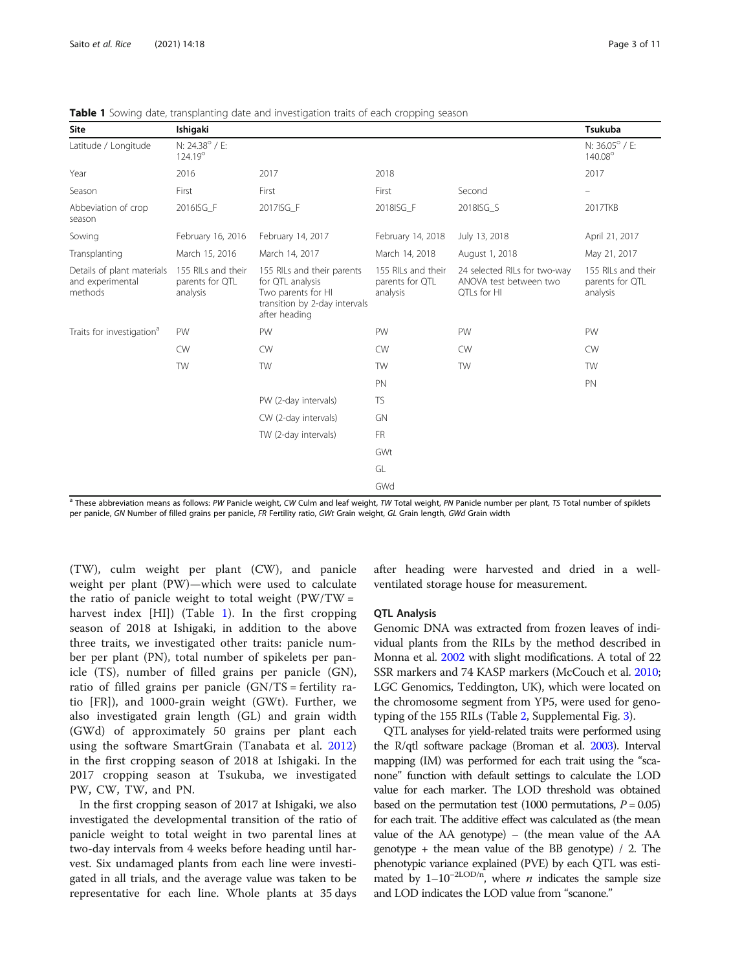| Site                                                      | Ishigaki                                          |                                                                                                                        |                                                   |                                                                       | Tsukuba                                           |
|-----------------------------------------------------------|---------------------------------------------------|------------------------------------------------------------------------------------------------------------------------|---------------------------------------------------|-----------------------------------------------------------------------|---------------------------------------------------|
| Latitude / Longitude                                      | N: 24.38° / E:<br>124.19°                         |                                                                                                                        |                                                   |                                                                       | N: 36.05° / E:<br>140.08°                         |
| Year                                                      | 2016                                              | 2017                                                                                                                   | 2018                                              |                                                                       | 2017                                              |
| Season                                                    | First                                             | First                                                                                                                  | First                                             | Second                                                                |                                                   |
| Abbeviation of crop<br>season                             | 2016ISG F                                         | 2017ISG F                                                                                                              | 2018ISG F                                         | 2018ISG S                                                             | 2017TKB                                           |
| Sowing                                                    | February 16, 2016                                 | February 14, 2017                                                                                                      | February 14, 2018                                 | July 13, 2018                                                         | April 21, 2017                                    |
| Transplanting                                             | March 15, 2016                                    | March 14, 2017                                                                                                         | March 14, 2018                                    | August 1, 2018                                                        | May 21, 2017                                      |
| Details of plant materials<br>and experimental<br>methods | 155 RILs and their<br>parents for QTL<br>analysis | 155 RILs and their parents<br>for QTL analysis<br>Two parents for HI<br>transition by 2-day intervals<br>after heading | 155 RILs and their<br>parents for QTL<br>analysis | 24 selected RILs for two-way<br>ANOVA test between two<br>QTLs for HI | 155 RILs and their<br>parents for QTL<br>analysis |
| Traits for investigation <sup>a</sup>                     | PW                                                | PW                                                                                                                     | PW                                                | PW                                                                    | PW                                                |
|                                                           | <b>CW</b>                                         | <b>CW</b>                                                                                                              | <b>CW</b>                                         | <b>CW</b>                                                             | <b>CW</b>                                         |
|                                                           | <b>TW</b>                                         | <b>TW</b>                                                                                                              | <b>TW</b>                                         | <b>TW</b>                                                             | <b>TW</b>                                         |
|                                                           |                                                   |                                                                                                                        | PN                                                |                                                                       | PN                                                |
|                                                           |                                                   | PW (2-day intervals)                                                                                                   | <b>TS</b>                                         |                                                                       |                                                   |
|                                                           |                                                   | CW (2-day intervals)                                                                                                   | GN                                                |                                                                       |                                                   |
|                                                           |                                                   | TW (2-day intervals)                                                                                                   | <b>FR</b>                                         |                                                                       |                                                   |
|                                                           |                                                   |                                                                                                                        | GWt                                               |                                                                       |                                                   |
|                                                           |                                                   |                                                                                                                        | GL                                                |                                                                       |                                                   |
|                                                           |                                                   |                                                                                                                        | GWd                                               |                                                                       |                                                   |

<span id="page-2-0"></span>**Table 1** Sowing date, transplanting date and investigation traits of each cropping season

 $a$  These abbreviation means as follows: PW Panicle weight, CW Culm and leaf weight, TW Total weight, PN Panicle number per plant, TS Total number of spiklets per panicle, GN Number of filled grains per panicle, FR Fertility ratio, GWt Grain weight, GL Grain length, GWd Grain width

(TW), culm weight per plant (CW), and panicle weight per plant (PW)—which were used to calculate the ratio of panicle weight to total weight  $(PW/TW =$ harvest index [HI]) (Table 1). In the first cropping season of 2018 at Ishigaki, in addition to the above three traits, we investigated other traits: panicle number per plant (PN), total number of spikelets per panicle (TS), number of filled grains per panicle (GN), ratio of filled grains per panicle (GN/TS = fertility ratio [FR]), and 1000-grain weight (GWt). Further, we also investigated grain length (GL) and grain width (GWd) of approximately 50 grains per plant each using the software SmartGrain (Tanabata et al. [2012](#page-10-0)) in the first cropping season of 2018 at Ishigaki. In the 2017 cropping season at Tsukuba, we investigated PW, CW, TW, and PN.

In the first cropping season of 2017 at Ishigaki, we also investigated the developmental transition of the ratio of panicle weight to total weight in two parental lines at two-day intervals from 4 weeks before heading until harvest. Six undamaged plants from each line were investigated in all trials, and the average value was taken to be representative for each line. Whole plants at 35 days after heading were harvested and dried in a wellventilated storage house for measurement.

#### QTL Analysis

Genomic DNA was extracted from frozen leaves of individual plants from the RILs by the method described in Monna et al. [2002](#page-9-0) with slight modifications. A total of 22 SSR markers and 74 KASP markers (McCouch et al. [2010](#page-9-0); LGC Genomics, Teddington, UK), which were located on the chromosome segment from YP5, were used for genotyping of the 155 RILs (Table [2](#page-3-0), Supplemental Fig. [3\)](#page-9-0).

QTL analyses for yield-related traits were performed using the R/qtl software package (Broman et al. [2003\)](#page-9-0). Interval mapping (IM) was performed for each trait using the "scanone" function with default settings to calculate the LOD value for each marker. The LOD threshold was obtained based on the permutation test (1000 permutations,  $P = 0.05$ ) for each trait. The additive effect was calculated as (the mean value of the AA genotype) – (the mean value of the AA genotype + the mean value of the BB genotype) / 2. The phenotypic variance explained (PVE) by each QTL was estimated by  $1-10^{-2\text{LOD}/n}$ , where *n* indicates the sample size and LOD indicates the LOD value from "scanone."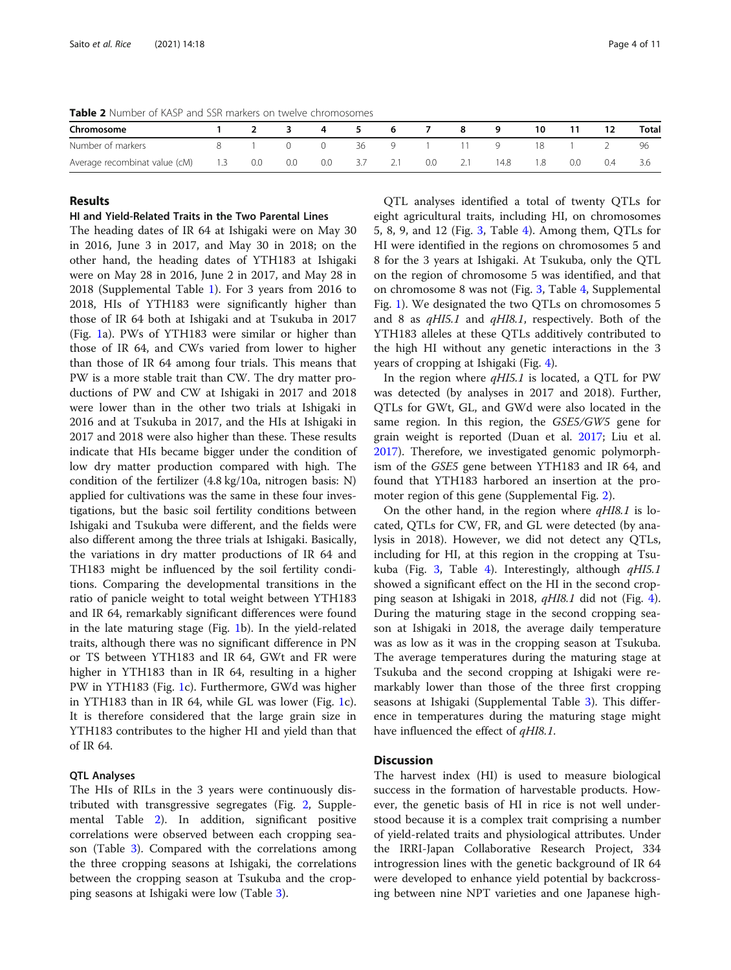<span id="page-3-0"></span>Table 2 Number of KASP and SSR markers on twelve chromosomes

| Chromosome                    |     |     |     | 4   |     |     |     |     |      | 10  |     | 12  | <b>Total</b> |
|-------------------------------|-----|-----|-----|-----|-----|-----|-----|-----|------|-----|-----|-----|--------------|
| Number of markers             |     |     |     |     | 36  |     |     |     | Q    | 18  |     |     | 96           |
| Average recombinat value (cM) | 1.3 | 0.0 | 0.0 | 0.0 | 3.7 | 2.1 | 0.0 | 2.1 | 14.8 | 1.8 | 0.0 | 0.4 |              |

### Results

#### HI and Yield-Related Traits in the Two Parental Lines

The heading dates of IR 64 at Ishigaki were on May 30 in 2016, June 3 in 2017, and May 30 in 2018; on the other hand, the heading dates of YTH183 at Ishigaki were on May 28 in 2016, June 2 in 2017, and May 28 in 2018 (Supplemental Table [1\)](#page-9-0). For 3 years from 2016 to 2018, HIs of YTH183 were significantly higher than those of IR 64 both at Ishigaki and at Tsukuba in 2017 (Fig. [1a](#page-4-0)). PWs of YTH183 were similar or higher than those of IR 64, and CWs varied from lower to higher than those of IR 64 among four trials. This means that PW is a more stable trait than CW. The dry matter productions of PW and CW at Ishigaki in 2017 and 2018 were lower than in the other two trials at Ishigaki in 2016 and at Tsukuba in 2017, and the HIs at Ishigaki in 2017 and 2018 were also higher than these. These results indicate that HIs became bigger under the condition of low dry matter production compared with high. The condition of the fertilizer (4.8 kg/10a, nitrogen basis: N) applied for cultivations was the same in these four investigations, but the basic soil fertility conditions between Ishigaki and Tsukuba were different, and the fields were also different among the three trials at Ishigaki. Basically, the variations in dry matter productions of IR 64 and TH183 might be influenced by the soil fertility conditions. Comparing the developmental transitions in the ratio of panicle weight to total weight between YTH183 and IR 64, remarkably significant differences were found in the late maturing stage (Fig. [1](#page-4-0)b). In the yield-related traits, although there was no significant difference in PN or TS between YTH183 and IR 64, GWt and FR were higher in YTH183 than in IR 64, resulting in a higher PW in YTH183 (Fig. [1](#page-4-0)c). Furthermore, GWd was higher in YTH183 than in IR 64, while GL was lower (Fig. [1c](#page-4-0)). It is therefore considered that the large grain size in YTH183 contributes to the higher HI and yield than that of IR 64.

#### QTL Analyses

The HIs of RILs in the 3 years were continuously distributed with transgressive segregates (Fig. [2](#page-5-0), Supplemental Table [2](#page-9-0)). In addition, significant positive correlations were observed between each cropping season (Table [3\)](#page-5-0). Compared with the correlations among the three cropping seasons at Ishigaki, the correlations between the cropping season at Tsukuba and the cropping seasons at Ishigaki were low (Table [3\)](#page-5-0).

QTL analyses identified a total of twenty QTLs for eight agricultural traits, including HI, on chromosomes 5, 8, 9, and 12 (Fig. [3,](#page-6-0) Table [4\)](#page-7-0). Among them, QTLs for HI were identified in the regions on chromosomes 5 and 8 for the 3 years at Ishigaki. At Tsukuba, only the QTL on the region of chromosome 5 was identified, and that on chromosome 8 was not (Fig. [3,](#page-6-0) Table [4,](#page-7-0) Supplemental Fig. [1](#page-9-0)). We designated the two QTLs on chromosomes 5 and 8 as qHI5.1 and qHI8.1, respectively. Both of the YTH183 alleles at these QTLs additively contributed to the high HI without any genetic interactions in the 3 years of cropping at Ishigaki (Fig. [4\)](#page-8-0).

In the region where  $qH$ I5.1 is located, a QTL for PW was detected (by analyses in 2017 and 2018). Further, QTLs for GWt, GL, and GWd were also located in the same region. In this region, the GSE5/GW5 gene for grain weight is reported (Duan et al. [2017](#page-9-0); Liu et al. [2017](#page-9-0)). Therefore, we investigated genomic polymorphism of the GSE5 gene between YTH183 and IR 64, and found that YTH183 harbored an insertion at the promoter region of this gene (Supplemental Fig. [2\)](#page-9-0).

On the other hand, in the region where  $qH18.1$  is located, QTLs for CW, FR, and GL were detected (by analysis in 2018). However, we did not detect any QTLs, including for HI, at this region in the cropping at Tsu-kuba (Fig. [3](#page-6-0), Table [4\)](#page-7-0). Interestingly, although  $qH15.1$ showed a significant effect on the HI in the second cropping season at Ishigaki in 2018, qHI8.1 did not (Fig. [4](#page-8-0)). During the maturing stage in the second cropping season at Ishigaki in 2018, the average daily temperature was as low as it was in the cropping season at Tsukuba. The average temperatures during the maturing stage at Tsukuba and the second cropping at Ishigaki were remarkably lower than those of the three first cropping seasons at Ishigaki (Supplemental Table [3\)](#page-9-0). This difference in temperatures during the maturing stage might have influenced the effect of qHI8.1.

#### **Discussion**

The harvest index (HI) is used to measure biological success in the formation of harvestable products. However, the genetic basis of HI in rice is not well understood because it is a complex trait comprising a number of yield-related traits and physiological attributes. Under the IRRI-Japan Collaborative Research Project, 334 introgression lines with the genetic background of IR 64 were developed to enhance yield potential by backcrossing between nine NPT varieties and one Japanese high-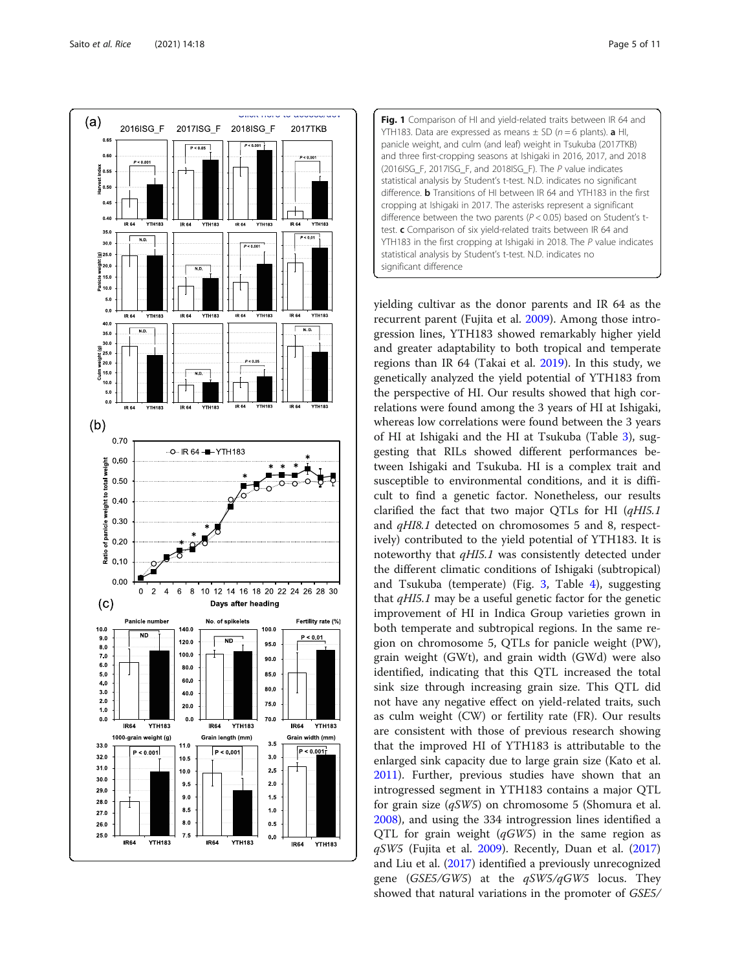<span id="page-4-0"></span>



yielding cultivar as the donor parents and IR 64 as the recurrent parent (Fujita et al. [2009\)](#page-9-0). Among those introgression lines, YTH183 showed remarkably higher yield and greater adaptability to both tropical and temperate regions than IR 64 (Takai et al. [2019\)](#page-10-0). In this study, we genetically analyzed the yield potential of YTH183 from the perspective of HI. Our results showed that high correlations were found among the 3 years of HI at Ishigaki, whereas low correlations were found between the 3 years of HI at Ishigaki and the HI at Tsukuba (Table [3](#page-5-0)), suggesting that RILs showed different performances between Ishigaki and Tsukuba. HI is a complex trait and susceptible to environmental conditions, and it is difficult to find a genetic factor. Nonetheless, our results clarified the fact that two major QTLs for HI (qHI5.1 and qHI8.1 detected on chromosomes 5 and 8, respectively) contributed to the yield potential of YTH183. It is noteworthy that qHI5.1 was consistently detected under the different climatic conditions of Ishigaki (subtropical) and Tsukuba (temperate) (Fig. [3](#page-6-0), Table [4\)](#page-7-0), suggesting that  $qH$ I5.1 may be a useful genetic factor for the genetic improvement of HI in Indica Group varieties grown in both temperate and subtropical regions. In the same region on chromosome 5, QTLs for panicle weight (PW), grain weight (GWt), and grain width (GWd) were also identified, indicating that this QTL increased the total sink size through increasing grain size. This QTL did not have any negative effect on yield-related traits, such as culm weight (CW) or fertility rate (FR). Our results are consistent with those of previous research showing that the improved HI of YTH183 is attributable to the enlarged sink capacity due to large grain size (Kato et al. [2011](#page-9-0)). Further, previous studies have shown that an introgressed segment in YTH183 contains a major QTL for grain size  $(qSW5)$  on chromosome 5 (Shomura et al. [2008](#page-10-0)), and using the 334 introgression lines identified a QTL for grain weight  $(qGW5)$  in the same region as  $qSW5$  (Fujita et al. [2009](#page-9-0)). Recently, Duan et al. ([2017](#page-9-0)) and Liu et al. ([2017](#page-9-0)) identified a previously unrecognized gene (GSE5/GW5) at the  $qSW5/qGW5$  locus. They showed that natural variations in the promoter of GSE5/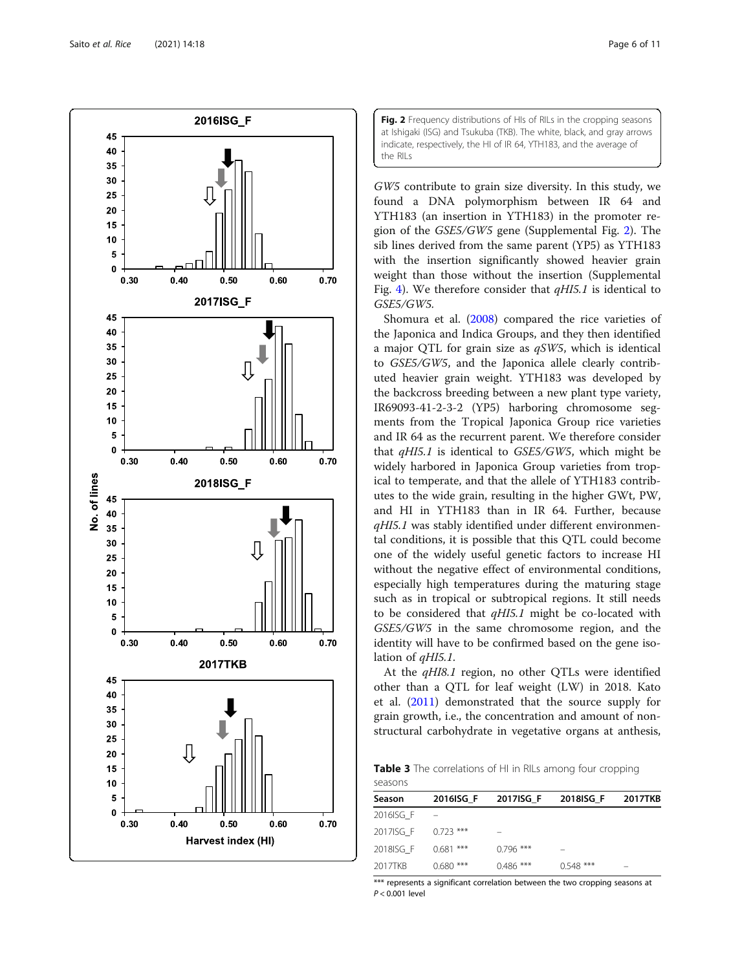<span id="page-5-0"></span>

Fig. 2 Frequency distributions of HIs of RILs in the cropping seasons at Ishigaki (ISG) and Tsukuba (TKB). The white, black, and gray arrows indicate, respectively, the HI of IR 64, YTH183, and the average of the RILs

GW5 contribute to grain size diversity. In this study, we found a DNA polymorphism between IR 64 and YTH183 (an insertion in YTH183) in the promoter region of the GSE5/GW5 gene (Supplemental Fig. [2](#page-9-0)). The sib lines derived from the same parent (YP5) as YTH183 with the insertion significantly showed heavier grain weight than those without the insertion (Supplemental Fig. [4\)](#page-9-0). We therefore consider that  $qH15.1$  is identical to GSE5/GW5.

Shomura et al. [\(2008\)](#page-10-0) compared the rice varieties of the Japonica and Indica Groups, and they then identified a major QTL for grain size as  $qSW5$ , which is identical to GSE5/GW5, and the Japonica allele clearly contributed heavier grain weight. YTH183 was developed by the backcross breeding between a new plant type variety, IR69093-41-2-3-2 (YP5) harboring chromosome segments from the Tropical Japonica Group rice varieties and IR 64 as the recurrent parent. We therefore consider that  $qHI5.1$  is identical to  $GSE5/GW5$ , which might be widely harbored in Japonica Group varieties from tropical to temperate, and that the allele of YTH183 contributes to the wide grain, resulting in the higher GWt, PW, and HI in YTH183 than in IR 64. Further, because qHI5.1 was stably identified under different environmental conditions, it is possible that this QTL could become one of the widely useful genetic factors to increase HI without the negative effect of environmental conditions, especially high temperatures during the maturing stage such as in tropical or subtropical regions. It still needs to be considered that  $qH$ I5.1 might be co-located with GSE5/GW5 in the same chromosome region, and the identity will have to be confirmed based on the gene isolation of *aHI5.1*.

At the *aHI8.1* region, no other OTLs were identified other than a QTL for leaf weight (LW) in 2018. Kato et al. ([2011\)](#page-9-0) demonstrated that the source supply for grain growth, i.e., the concentration and amount of nonstructural carbohydrate in vegetative organs at anthesis,

Table 3 The correlations of HI in RILs among four cropping seasons

| Season    |             | 2016ISG F 2017ISG F | 2018ISG F   | <b>2017TKB</b> |
|-----------|-------------|---------------------|-------------|----------------|
| 2016ISG F |             |                     |             |                |
| 2017ISG F | $0.723$ *** |                     |             |                |
| 2018ISG F | $0.681$ *** | $0.796$ ***         |             |                |
| 2017TKB   | $0.680***$  | $0.486$ ***         | $0.548$ *** |                |

\*\*\* represents a significant correlation between the two cropping seasons at P < 0.001 level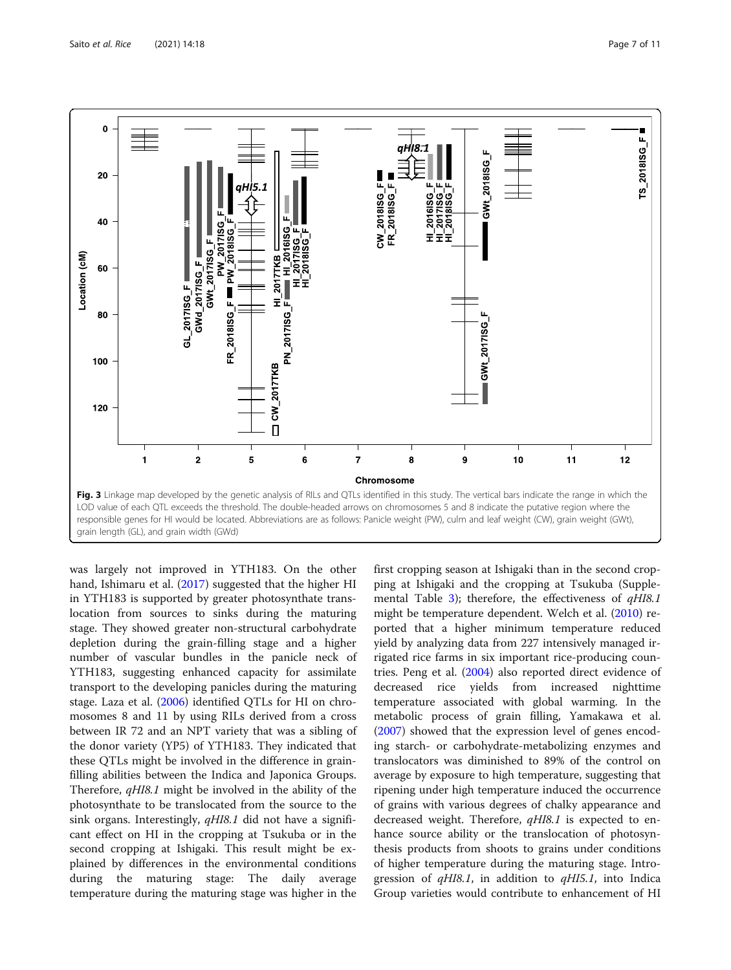<span id="page-6-0"></span>

was largely not improved in YTH183. On the other hand, Ishimaru et al. ([2017](#page-9-0)) suggested that the higher HI in YTH183 is supported by greater photosynthate translocation from sources to sinks during the maturing stage. They showed greater non-structural carbohydrate depletion during the grain-filling stage and a higher number of vascular bundles in the panicle neck of YTH183, suggesting enhanced capacity for assimilate transport to the developing panicles during the maturing stage. Laza et al. ([2006\)](#page-9-0) identified QTLs for HI on chromosomes 8 and 11 by using RILs derived from a cross between IR 72 and an NPT variety that was a sibling of the donor variety (YP5) of YTH183. They indicated that these QTLs might be involved in the difference in grainfilling abilities between the Indica and Japonica Groups. Therefore, qHI8.1 might be involved in the ability of the photosynthate to be translocated from the source to the sink organs. Interestingly, *qHI8.1* did not have a significant effect on HI in the cropping at Tsukuba or in the second cropping at Ishigaki. This result might be explained by differences in the environmental conditions during the maturing stage: The daily average temperature during the maturing stage was higher in the

first cropping season at Ishigaki than in the second cropping at Ishigaki and the cropping at Tsukuba (Supple-mental Table [3\)](#page-9-0); therefore, the effectiveness of  $qH18.1$ might be temperature dependent. Welch et al. [\(2010\)](#page-10-0) reported that a higher minimum temperature reduced yield by analyzing data from 227 intensively managed irrigated rice farms in six important rice-producing countries. Peng et al. [\(2004](#page-10-0)) also reported direct evidence of decreased rice yields from increased nighttime temperature associated with global warming. In the metabolic process of grain filling, Yamakawa et al. ([2007\)](#page-10-0) showed that the expression level of genes encoding starch- or carbohydrate-metabolizing enzymes and translocators was diminished to 89% of the control on average by exposure to high temperature, suggesting that ripening under high temperature induced the occurrence of grains with various degrees of chalky appearance and decreased weight. Therefore, *qHI8.1* is expected to enhance source ability or the translocation of photosynthesis products from shoots to grains under conditions of higher temperature during the maturing stage. Introgression of  $qH18.1$ , in addition to  $qH15.1$ , into Indica Group varieties would contribute to enhancement of HI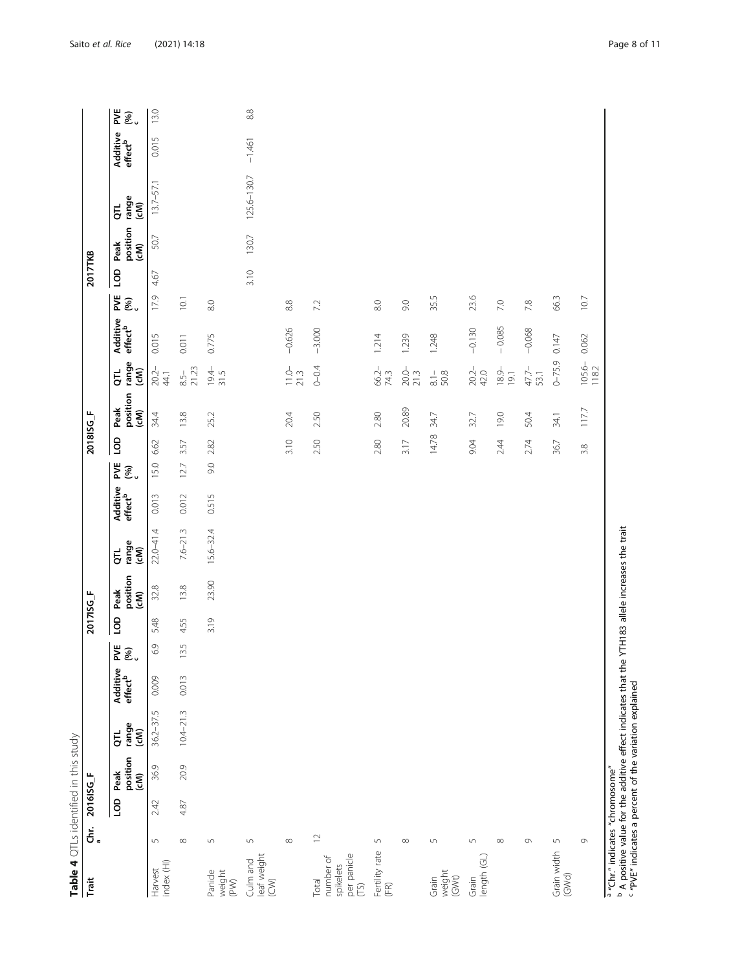| Table 4 QTLs identified in this study                  |                  |           |                          |                     |                                 |                                   |           |                          |                            |                                 |                                  |           |                          |                            |                                 |                      |         |                          |                            |                                 |                            |
|--------------------------------------------------------|------------------|-----------|--------------------------|---------------------|---------------------------------|-----------------------------------|-----------|--------------------------|----------------------------|---------------------------------|----------------------------------|-----------|--------------------------|----------------------------|---------------------------------|----------------------|---------|--------------------------|----------------------------|---------------------------------|----------------------------|
| Trait                                                  | .<br>ຣັ້.        | 2016ISG_F |                          |                     |                                 |                                   | 2017ISG_F |                          |                            |                                 |                                  | 2018ISG_F |                          |                            |                                 |                      | 2017TKB |                          |                            |                                 |                            |
|                                                        |                  | 9         | position<br>(cM)<br>Peak | range<br>(cM)<br>Ĕ, | Additive<br>effect <sup>b</sup> | PVE<br>$\overline{\mathcal{E}}$ . | GO        | position<br>(cM)<br>Peak | range<br>(cM)<br>$\vec{5}$ | Additive<br>effect <sup>b</sup> | P۷Ë<br>$\widehat{\mathcal{E}}$ . | 9         | position<br>(cM)<br>Peak | range<br>(cM)<br>Γ,        | Additive<br>effect <sup>b</sup> | ≵ั⊛ิ.                | go      | position<br>(cM)<br>Peak | range<br>(cM)<br>$\vec{q}$ | Additive<br>effect <sup>b</sup> | <b>ME</b><br>$\mathcal{E}$ |
| index (HI)<br>Harvest                                  | $\sqrt{2}$       | 2.42      | 36.9                     | $36.2 - 37.5$       | 0.009                           | 6.9                               | 5.48      | 32.8                     | $220 - 41.4$               | 0.013                           | 15.0                             | 6.62      | 34.4                     | $20.2 -$<br>44.1           | 0.015                           | 17.9                 | 4.67    | 50.7                     | $13.7 - 57.1$              | 0.015                           | 13.0                       |
|                                                        | $\infty$         | 4.87      | 20.9                     | $10.4 - 21.3$       | 0.013                           | 3.5                               | 4.55      | 13.8                     | $7.6 - 21.3$               | 0.012                           | 12.7                             | 3.57      | 13.8                     | 21.23<br>$8.5 -$           | 0.011                           | 10.1                 |         |                          |                            |                                 |                            |
| Panicle<br>weight<br>(PV)                              | $\sqrt{2}$       |           |                          |                     |                                 |                                   | 3.19      | 23.90                    | 15.6-32.4                  | 0.515                           | 9.0                              | 2.82      | 25.2                     | $19.4 - 31.5$              | 0.775                           | 8.0                  |         |                          |                            |                                 |                            |
| leaf weight<br>(CW)<br>Culm and                        | $\mathsf{L}\cap$ |           |                          |                     |                                 |                                   |           |                          |                            |                                 |                                  |           |                          |                            |                                 |                      | 3.10    | 130.7                    | 125.6-130.7                | $-1.461$                        | $8.8$                      |
|                                                        | $\infty$         |           |                          |                     |                                 |                                   |           |                          |                            |                                 |                                  | 3.10      | 20.4                     | $\frac{11.0}{21.3}$        | $-0.626$                        | $_{\infty}^{\infty}$ |         |                          |                            |                                 |                            |
| per panicle<br>(TS)<br>number of<br>spikelets<br>Total | $\mathop\simeq$  |           |                          |                     |                                 |                                   |           |                          |                            |                                 |                                  | 2.50      | 2.50                     | $0 - 0.4$                  | $-3.000$                        | 7.2                  |         |                          |                            |                                 |                            |
| Fertility rate<br>(FR)                                 | $\sqrt{ }$       |           |                          |                     |                                 |                                   |           |                          |                            |                                 |                                  | 2.80      | 2.80                     | 66.2-<br>74.3              | 1214                            | $_{\odot}$           |         |                          |                            |                                 |                            |
|                                                        | $\infty$         |           |                          |                     |                                 |                                   |           |                          |                            |                                 |                                  | 3.17      | 20.89                    | $20.0 - 21.3$              | 1,239                           | 0.6                  |         |                          |                            |                                 |                            |
| weight<br>(GWt)<br>Grain                               | $\sqrt{ }$       |           |                          |                     |                                 |                                   |           |                          |                            |                                 |                                  | 14.78     | 34.7                     | $\frac{1}{\infty}$<br>50.8 | 1.248                           | 35.5                 |         |                          |                            |                                 |                            |
| length (GL)<br>Grain                                   | 5                |           |                          |                     |                                 |                                   |           |                          |                            |                                 |                                  | 9.04      | 32.7                     | $20.2 -$<br>42.0           | $-0.130$                        | 23.6                 |         |                          |                            |                                 |                            |
|                                                        | $\infty$         |           |                          |                     |                                 |                                   |           |                          |                            |                                 |                                  | 2.44      | 19.0                     | $\frac{18.9}{19.1}$        | $-0.085$                        | 7.0                  |         |                          |                            |                                 |                            |
|                                                        | $\circ$          |           |                          |                     |                                 |                                   |           |                          |                            |                                 |                                  | 2.74      | 50.4                     | $47.7 -$<br>53.1           | $-0.068$                        | 7.8                  |         |                          |                            |                                 |                            |
| Grain width<br>(GWd)                                   | $\mathsf{L}\cap$ |           |                          |                     |                                 |                                   |           |                          |                            |                                 |                                  | 36.7      | 34.1                     | $0 - 75.9$                 | 0.147                           | 66.3                 |         |                          |                            |                                 |                            |
|                                                        | G                |           |                          |                     |                                 |                                   |           |                          |                            |                                 |                                  | 3.8       | 117.7                    | $105.6 -$<br>118.2         | 0.062                           | 10.7                 |         |                          |                            |                                 |                            |

<span id="page-7-0"></span>

A positive value for the additive effect indicates that the YTH183 allele increases the trait

"PVE" indicates a percent of the variation explained

abc

"Chr." indicates "chromosome"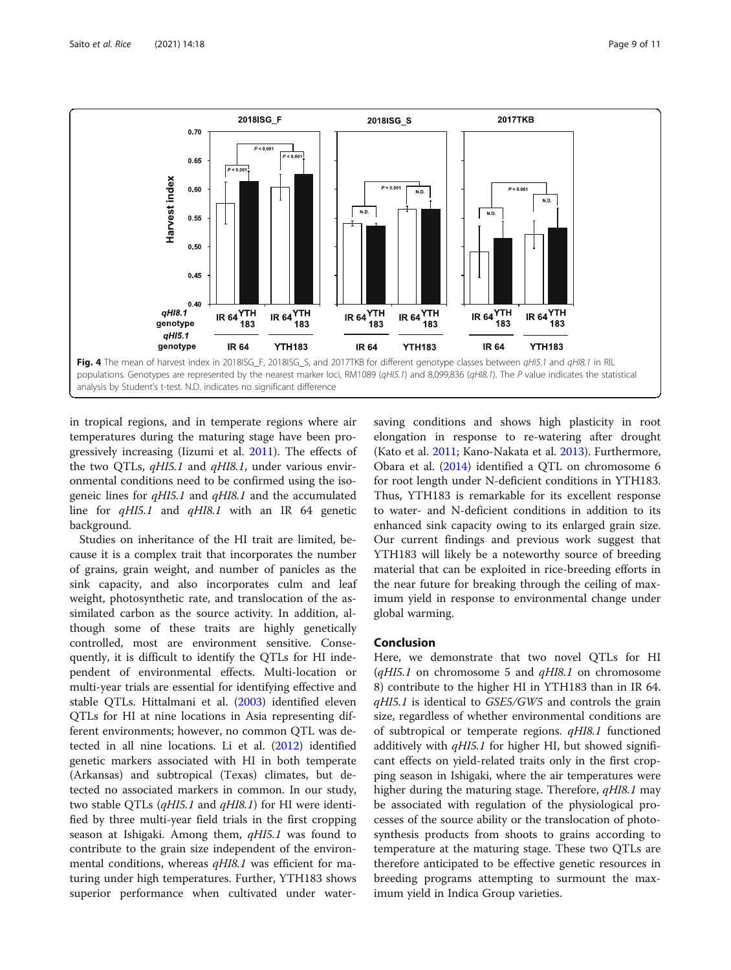<span id="page-8-0"></span>

in tropical regions, and in temperate regions where air temperatures during the maturing stage have been progressively increasing (Iizumi et al. [2011\)](#page-9-0). The effects of the two QTLs, *qHI5.1* and *qHI8.1*, under various environmental conditions need to be confirmed using the isogeneic lines for qHI5.1 and qHI8.1 and the accumulated line for *qHI5.1* and *qHI8.1* with an IR 64 genetic background.

Studies on inheritance of the HI trait are limited, because it is a complex trait that incorporates the number of grains, grain weight, and number of panicles as the sink capacity, and also incorporates culm and leaf weight, photosynthetic rate, and translocation of the assimilated carbon as the source activity. In addition, although some of these traits are highly genetically controlled, most are environment sensitive. Consequently, it is difficult to identify the QTLs for HI independent of environmental effects. Multi-location or multi-year trials are essential for identifying effective and stable QTLs. Hittalmani et al. ([2003\)](#page-9-0) identified eleven QTLs for HI at nine locations in Asia representing different environments; however, no common QTL was detected in all nine locations. Li et al. [\(2012\)](#page-9-0) identified genetic markers associated with HI in both temperate (Arkansas) and subtropical (Texas) climates, but detected no associated markers in common. In our study, two stable QTLs  $(qHIS.1$  and  $qHIS.1$ ) for HI were identified by three multi-year field trials in the first cropping season at Ishigaki. Among them, qHI5.1 was found to contribute to the grain size independent of the environmental conditions, whereas  $qH18.1$  was efficient for maturing under high temperatures. Further, YTH183 shows superior performance when cultivated under watersaving conditions and shows high plasticity in root elongation in response to re-watering after drought (Kato et al. [2011](#page-9-0); Kano-Nakata et al. [2013](#page-9-0)). Furthermore, Obara et al. [\(2014](#page-9-0)) identified a QTL on chromosome 6 for root length under N-deficient conditions in YTH183. Thus, YTH183 is remarkable for its excellent response to water- and N-deficient conditions in addition to its enhanced sink capacity owing to its enlarged grain size. Our current findings and previous work suggest that YTH183 will likely be a noteworthy source of breeding material that can be exploited in rice-breeding efforts in the near future for breaking through the ceiling of maximum yield in response to environmental change under global warming.

#### Conclusion

Here, we demonstrate that two novel QTLs for HI  $(dH15.1)$  on chromosome 5 and  $dH18.1$  on chromosome 8) contribute to the higher HI in YTH183 than in IR 64. qHI5.1 is identical to GSE5/GW5 and controls the grain size, regardless of whether environmental conditions are of subtropical or temperate regions. qHI8.1 functioned additively with  $qH$ I5.1 for higher HI, but showed significant effects on yield-related traits only in the first cropping season in Ishigaki, where the air temperatures were higher during the maturing stage. Therefore, *qHI8.1* may be associated with regulation of the physiological processes of the source ability or the translocation of photosynthesis products from shoots to grains according to temperature at the maturing stage. These two QTLs are therefore anticipated to be effective genetic resources in breeding programs attempting to surmount the maximum yield in Indica Group varieties.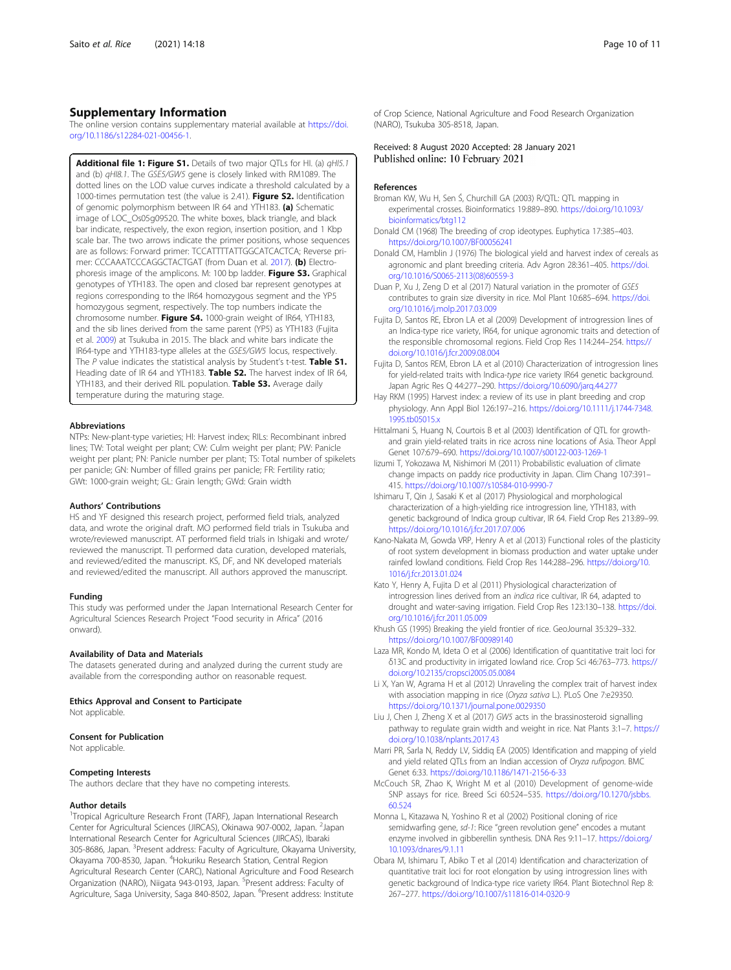#### <span id="page-9-0"></span>Supplementary Information

The online version contains supplementary material available at [https://doi.](https://doi.org/10.1186/s12284-021-00456-1) [org/10.1186/s12284-021-00456-1.](https://doi.org/10.1186/s12284-021-00456-1)

Additional file 1: Figure S1. Details of two major QTLs for HI. (a) qHI5.1 and (b)  $qH$ I8.1. The GSE5/GW5 gene is closely linked with RM1089. The dotted lines on the LOD value curves indicate a threshold calculated by a 1000-times permutation test (the value is 2.41). Figure S2. Identification of genomic polymorphism between IR 64 and YTH183. (a) Schematic image of LOC\_Os05g09520. The white boxes, black triangle, and black bar indicate, respectively, the exon region, insertion position, and 1 Kbp scale bar. The two arrows indicate the primer positions, whose sequences are as follows: Forward primer: TCCATTTTATTGGCATCACTCA; Reverse primer: CCCAAATCCCAGGCTACTGAT (from Duan et al. 2017). (b) Electrophoresis image of the amplicons. M: 100 bp ladder. Figure S3. Graphical genotypes of YTH183. The open and closed bar represent genotypes at regions corresponding to the IR64 homozygous segment and the YP5 homozygous segment, respectively. The top numbers indicate the chromosome number. Figure S4. 1000-grain weight of IR64, YTH183, and the sib lines derived from the same parent (YP5) as YTH183 (Fujita et al. 2009) at Tsukuba in 2015. The black and white bars indicate the IR64-type and YTH183-type alleles at the GSE5/GW5 locus, respectively. The  $P$  value indicates the statistical analysis by Student's t-test. Table S1. Heading date of IR 64 and YTH183. Table S2. The harvest index of IR 64, YTH183, and their derived RIL population. Table S3. Average daily temperature during the maturing stage.

#### Abbreviations

NTPs: New-plant-type varieties; HI: Harvest index; RILs: Recombinant inbred lines; TW: Total weight per plant; CW: Culm weight per plant; PW: Panicle weight per plant; PN: Panicle number per plant; TS: Total number of spikelets per panicle; GN: Number of filled grains per panicle; FR: Fertility ratio; GWt: 1000-grain weight; GL: Grain length; GWd: Grain width

#### Authors' Contributions

HS and YF designed this research project, performed field trials, analyzed data, and wrote the original draft. MO performed field trials in Tsukuba and wrote/reviewed manuscript. AT performed field trials in Ishigaki and wrote/ reviewed the manuscript. TI performed data curation, developed materials, and reviewed/edited the manuscript. KS, DF, and NK developed materials and reviewed/edited the manuscript. All authors approved the manuscript.

#### Funding

This study was performed under the Japan International Research Center for Agricultural Sciences Research Project "Food security in Africa" (2016 onward).

#### Availability of Data and Materials

The datasets generated during and analyzed during the current study are available from the corresponding author on reasonable request.

#### Ethics Approval and Consent to Participate

Not applicable.

#### Consent for Publication

Not applicable.

#### Competing Interests

The authors declare that they have no competing interests.

#### Author details

<sup>1</sup>Tropical Agriculture Research Front (TARF), Japan International Research Center for Agricultural Sciences (JIRCAS), Okinawa 907-0002, Japan. <sup>2</sup>Japan International Research Center for Agricultural Sciences (JIRCAS), Ibaraki 305-8686, Japan. <sup>3</sup>Present address: Faculty of Agriculture, Okayama University, Okayama 700-8530, Japan. <sup>4</sup>Hokuriku Research Station, Central Region Agricultural Research Center (CARC), National Agriculture and Food Research Organization (NARO), Niigata 943-0193, Japan. <sup>5</sup> Present address: Faculty of Agriculture, Saga University, Saga 840-8502, Japan. <sup>6</sup>Present address: Institute

of Crop Science, National Agriculture and Food Research Organization (NARO), Tsukuba 305-8518, Japan.

#### Received: 8 August 2020 Accepted: 28 January 2021 Published online: 10 February 2021

#### References

- Broman KW, Wu H, Sen Ś, Churchill GA (2003) R/QTL: QTL mapping in experimental crosses. Bioinformatics 19:889–890. [https://doi.org/10.1093/](https://doi.org/10.1093/bioinformatics/btg112) [bioinformatics/btg112](https://doi.org/10.1093/bioinformatics/btg112)
- Donald CM (1968) The breeding of crop ideotypes. Euphytica 17:385–403. <https://doi.org/10.1007/BF00056241>
- Donald CM, Hamblin J (1976) The biological yield and harvest index of cereals as agronomic and plant breeding criteria. Adv Agron 28:361–405. [https://doi.](https://doi.org/10.1016/S0065-2113(08)60559-3) [org/10.1016/S0065-2113\(08\)60559-3](https://doi.org/10.1016/S0065-2113(08)60559-3)
- Duan P, Xu J, Zeng D et al (2017) Natural variation in the promoter of GSE5 contributes to grain size diversity in rice. Mol Plant 10:685–694. [https://doi.](https://doi.org/10.1016/j.molp.2017.03.009) [org/10.1016/j.molp.2017.03.009](https://doi.org/10.1016/j.molp.2017.03.009)
- Fujita D, Santos RE, Ebron LA et al (2009) Development of introgression lines of an Indica-type rice variety, IR64, for unique agronomic traits and detection of the responsible chromosomal regions. Field Crop Res 114:244–254. [https://](https://doi.org/10.1016/j.fcr.2009.08.004) [doi.org/10.1016/j.fcr.2009.08.004](https://doi.org/10.1016/j.fcr.2009.08.004)
- Fujita D, Santos REM, Ebron LA et al (2010) Characterization of introgression lines for yield-related traits with Indica-type rice variety IR64 genetic background. Japan Agric Res Q 44:277–290. <https://doi.org/10.6090/jarq.44.277>
- Hay RKM (1995) Harvest index: a review of its use in plant breeding and crop physiology. Ann Appl Biol 126:197–216. [https://doi.org/10.1111/j.1744-7348.](https://doi.org/10.1111/j.1744-7348.1995.tb05015.x) [1995.tb05015.x](https://doi.org/10.1111/j.1744-7348.1995.tb05015.x)
- Hittalmani S, Huang N, Courtois B et al (2003) Identification of QTL for growthand grain yield-related traits in rice across nine locations of Asia. Theor Appl Genet 107:679–690. <https://doi.org/10.1007/s00122-003-1269-1>
- Iizumi T, Yokozawa M, Nishimori M (2011) Probabilistic evaluation of climate change impacts on paddy rice productivity in Japan. Clim Chang 107:391– 415. <https://doi.org/10.1007/s10584-010-9990-7>
- Ishimaru T, Qin J, Sasaki K et al (2017) Physiological and morphological characterization of a high-yielding rice introgression line, YTH183, with genetic background of Indica group cultivar, IR 64. Field Crop Res 213:89–99. <https://doi.org/10.1016/j.fcr.2017.07.006>
- Kano-Nakata M, Gowda VRP, Henry A et al (2013) Functional roles of the plasticity of root system development in biomass production and water uptake under rainfed lowland conditions. Field Crop Res 144:288–296. [https://doi.org/10.](https://doi.org/10.1016/j.fcr.2013.01.024) [1016/j.fcr.2013.01.024](https://doi.org/10.1016/j.fcr.2013.01.024)
- Kato Y, Henry A, Fujita D et al (2011) Physiological characterization of introgression lines derived from an indica rice cultivar, IR 64, adapted to drought and water-saving irrigation. Field Crop Res 123:130–138. [https://doi.](https://doi.org/10.1016/j.fcr.2011.05.009) [org/10.1016/j.fcr.2011.05.009](https://doi.org/10.1016/j.fcr.2011.05.009)
- Khush GS (1995) Breaking the yield frontier of rice. GeoJournal 35:329–332. <https://doi.org/10.1007/BF00989140>
- Laza MR, Kondo M, Ideta O et al (2006) Identification of quantitative trait loci for δ13C and productivity in irrigated lowland rice. Crop Sci 46:763–773. [https://](https://doi.org/10.2135/cropsci2005.05.0084) [doi.org/10.2135/cropsci2005.05.0084](https://doi.org/10.2135/cropsci2005.05.0084)
- Li X, Yan W, Agrama H et al (2012) Unraveling the complex trait of harvest index with association mapping in rice (Oryza sativa L.). PLoS One 7:e29350. <https://doi.org/10.1371/journal.pone.0029350>
- Liu J, Chen J, Zheng X et al (2017) GW5 acts in the brassinosteroid signalling pathway to regulate grain width and weight in rice. Nat Plants 3:1–7. [https://](https://doi.org/10.1038/nplants.2017.43) [doi.org/10.1038/nplants.2017.43](https://doi.org/10.1038/nplants.2017.43)
- Marri PR, Sarla N, Reddy LV, Siddiq EA (2005) Identification and mapping of yield and yield related QTLs from an Indian accession of Oryza rufipogon. BMC Genet 6:33. <https://doi.org/10.1186/1471-2156-6-33>
- McCouch SR, Zhao K, Wright M et al (2010) Development of genome-wide SNP assays for rice. Breed Sci 60:524–535. [https://doi.org/10.1270/jsbbs.](https://doi.org/10.1270/jsbbs.60.524) [60.524](https://doi.org/10.1270/jsbbs.60.524)
- Monna L, Kitazawa N, Yoshino R et al (2002) Positional cloning of rice semidwarfing gene, sd-1: Rice "green revolution gene" encodes a mutant enzyme involved in gibberellin synthesis. DNA Res 9:11–17. [https://doi.org/](https://doi.org/10.1093/dnares/9.1.11) [10.1093/dnares/9.1.11](https://doi.org/10.1093/dnares/9.1.11)
- Obara M, Ishimaru T, Abiko T et al (2014) Identification and characterization of quantitative trait loci for root elongation by using introgression lines with genetic background of Indica-type rice variety IR64. Plant Biotechnol Rep 8: 267–277. <https://doi.org/10.1007/s11816-014-0320-9>